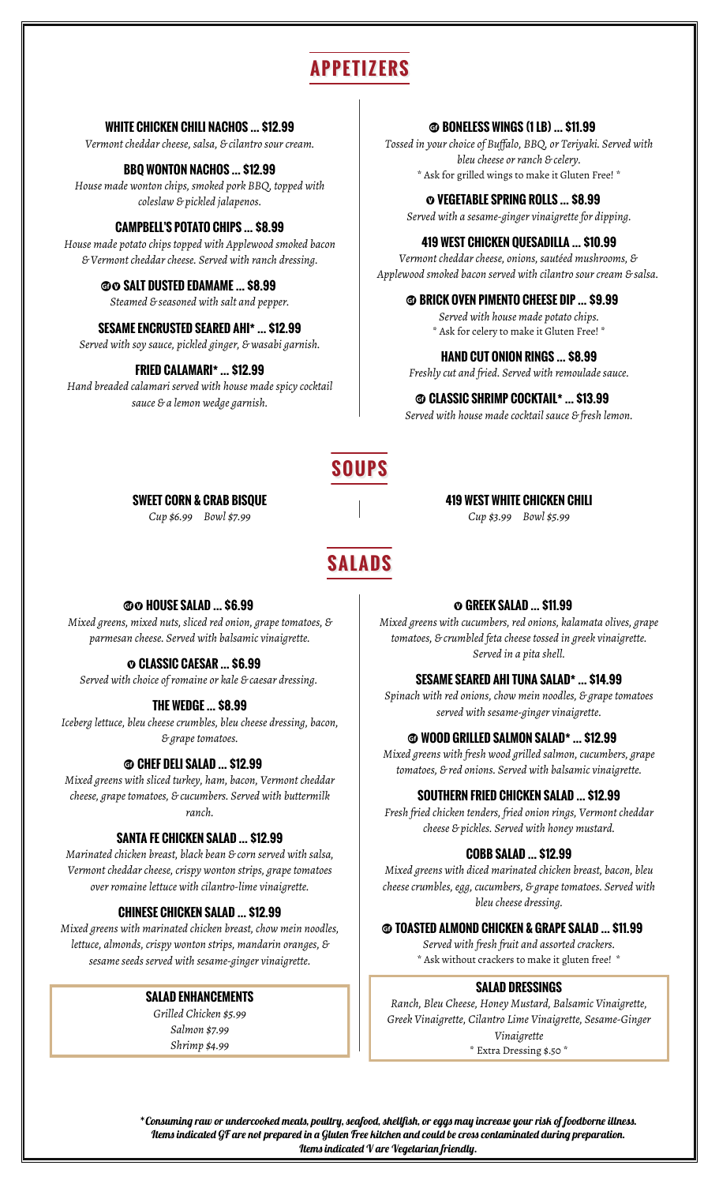## **APPETIZERS**

**WHITE CHICKEN CHILI NACHOS … \$12.99**

*Vermont cheddar cheese, salsa, & cilantro sour cream.*

*House made wonton chips, smoked pork BBQ, topped with coleslaw & pickled jalapenos.* ´ **VEGETABLE SPRING ROLLS … \$8.99**

#### **CAMPBELL'S POTATO CHIPS … \$8.99**

*House made potato chips topped with Applewood smoked bacon & Vermont cheddar cheese. Served with ranch dressing.*

#### **OO SALT DUSTED EDAMAME ... \$8.99**

#### **SESAME ENCRUSTED SEARED AHI\* ... \$12.99**  $*$  Ask for celery to make it Gluten Free! \*

*Served with soy sauce, pickled ginger, & wasabi garnish.*

*Hand breaded calamari served with house made spicy cocktail sauce & a lemon wedge garnish.* <sup>u</sup> **CLASSIC SHRIMP COCKTAIL\* … \$13.99**

#### **<b>ED BONELESS WINGS (1 LB) ... \$11.99**

*Tossed in your choice of Buffalo, BBQ, or Teriyaki. Served with bleu cheese or ranch & celery.* **BBQ WONTON NACHOS … \$12.99**<br>\* Ask for grilled wings to make it Gluten Free! \*

*Served with a sesame-ginger vinaigrette for dipping.*

#### **419 WEST CHICKEN QUESADILLA … \$10.99**

*Vermont cheddar cheese, onions, sautéed mushrooms, & Applewood smoked bacon served with cilantro sour cream & salsa.* 

#### *Steamed & seasoned with salt and pepper.* **b BRICK OVEN PIMENTO CHEESE DIP ... \$9.99**

*Served with house made potato chips.*

#### **HAND CUT ONION RINGS … \$8.99**

**FRIED CALAMARI\* … \$12.99** *Freshly cut and fried. Served with remoulade sauce.*

*Served with house made cocktail sauce & fresh lemon.*

**419 WEST WHITE CHICKEN CHILI** *Cup \$3.99 Bowl \$5.99*

## **SOUPS**

**SALADS**

**SWEET CORN & CRAB BISQUE**

*Cup \$6.99 Bowl \$7.99*

#### **@O HOUSE SALAD ... \$6.99**

*Mixed greens, mixed nuts, sliced red onion, grape tomatoes, & parmesan cheese. Served with balsamic vinaigrette.*

#### ´ **CLASSIC CAESAR … \$6.99**

*Served with choice of romaine or kale & caesar dressing.* **SESAME SEARED AHI TUNA SALAD\* … \$14.99**

*Iceberg lettuce, bleu cheese crumbles, bleu cheese dressing, bacon,*

*Mixed greens with sliced turkey, ham, bacon, Vermont cheddar cheese, grape tomatoes, & cucumbers. Served with buttermilk ranch.*

#### **SANTA FE CHICKEN SALAD … \$12.99**

*Marinated chicken breast, black bean & corn served with salsa, Vermont cheddar cheese, crispy wonton strips, grape tomatoes over romaine lettuce with cilantro-lime vinaigrette.*

*Mixed greens with marinated chicken breast, chow mein noodles, lettuce, almonds, crispy wonton strips, mandarin oranges, & sesame seeds served with sesame-ginger vinaigrette.*

#### **SALAD ENHANCEMENTS**

*Grilled Chicken \$5.99 Salmon \$7.99 Shrimp \$4.99*

#### $O$  GREEK SALAD ... \$11.99

*Mixed greens with cucumbers, red onions, kalamata olives, grape tomatoes, & crumbled feta cheese tossed in greek vinaigrette. Served in a pita shell.*

*Spinach with red onions, chow mein noodles, & grape tomatoes served with sesame-ginger vinaigrette.* **THE WEDGE … \$8.99**

#### *& grape tomatoes.* u **WOOD GRILLED SALMON SALAD\* … \$12.99**

*Mixed greens with fresh wood grilled salmon, cucumbers, grape* **a CHEF DELI SALAD … \$12.99**<br>tomatoes, & red onions. Served with balsamic vinaigrette.

#### **SOUTHERN FRIED CHICKEN SALAD … \$12.99**

*Fresh fried chicken tenders, fried onion rings, Vermont cheddar cheese & pickles. Served with honey mustard.*

#### **COBB SALAD … \$12.99**

*Mixed greens with diced marinated chicken breast, bacon, bleu cheese crumbles, egg, cucumbers, & grape tomatoes. Served with bleu cheese dressing.* **CHINESE CHICKEN SALAD … \$12.99**

#### $\odot$  **TOASTED ALMOND CHICKEN & GRAPE SALAD ... \$11.99**

*Served with fresh fruit and assorted crackers.* \* Ask without crackers to make it gluten free! \*

#### **SALAD DRESSINGS**

*Ranch, Bleu Cheese, Honey Mustard, Balsamic Vinaigrette, Greek Vinaigrette, Cilantro Lime Vinaigrette, Sesame-Ginger Vinaigrette*

\* Extra Dressing \$.50 \*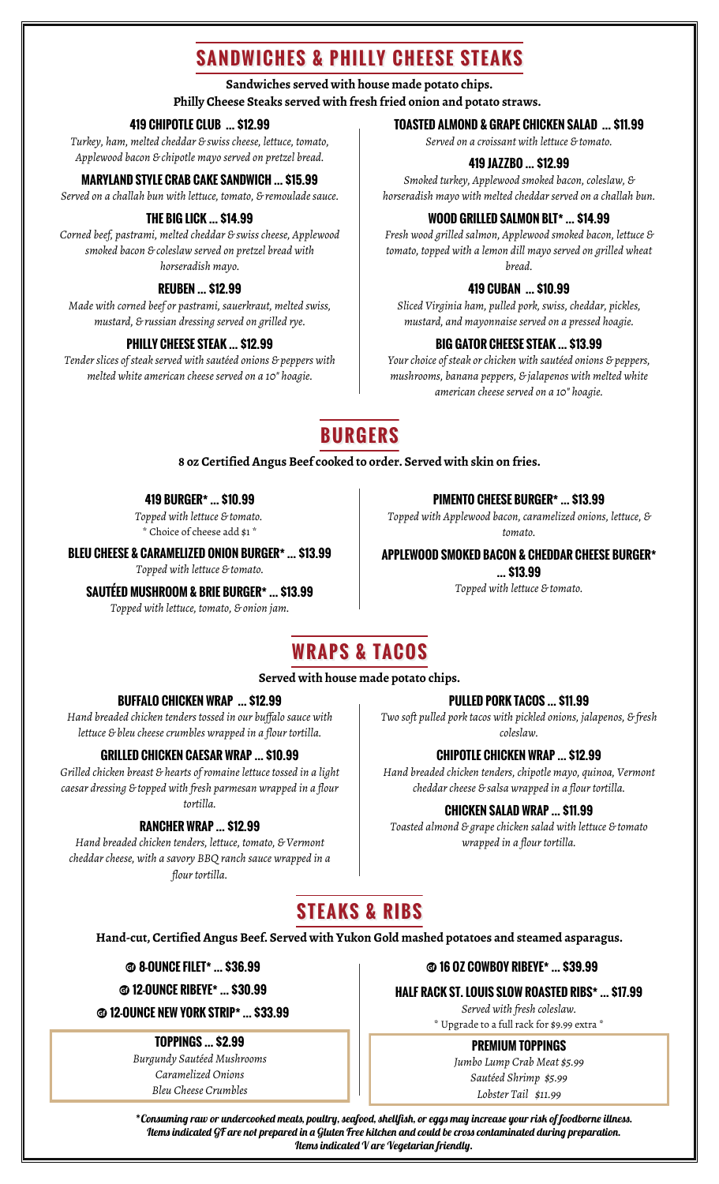## **SANDWICHES & PHILLY CHEESE STEAKS**

#### **Sandwiches served with house made potato chips.**

**Philly Cheese Steaks served with fresh fried onion and potato straws.** 

### **419 CHIPOTLE CLUB … \$12.99**

*Turkey, ham, melted cheddar & swiss cheese, lettuce, tomato, Applewood bacon & chipotle mayo served on pretzel bread.*

#### **MARYLAND STYLE CRAB CAKE SANDWICH … \$15.99**

*Served on a challah bun with lettuce, tomato, & remoulade sauce.*

#### **THE BIG LICK … \$14.99**

*Corned beef, pastrami, melted cheddar & swiss cheese, Applewood smoked bacon & coleslaw served on pretzel bread with horseradish mayo.*

### **REUBEN … \$12.99**

*Made with corned beef or pastrami, sauerkraut, melted swiss, mustard, & russian dressing served on grilled rye.*

#### **PHILLY CHEESE STEAK … \$12.99**

*Tender slices of steak served with sautéed onions & peppers with melted white american cheese served on a 10" hoagie.*

### **TOASTED ALMOND & GRAPE CHICKEN SALAD … \$11.99**

*Served on a croissant with lettuce & tomato.*

### **419 JAZZBO … \$12.99**

*Smoked turkey, Applewood smoked bacon, coleslaw, & horseradish mayo with melted cheddar served on a challah bun.*

#### **WOOD GRILLED SALMON BLT\* … \$14.99**

*Fresh wood grilled salmon, Applewood smoked bacon, lettuce & tomato, topped with a lemon dill mayo served on grilled wheat bread.*

#### **419 CUBAN … \$10.99**

*Sliced Virginia ham, pulled pork, swiss, cheddar, pickles, mustard, and mayonnaise served on a pressed hoagie.*

#### **BIG GATOR CHEESE STEAK … \$13.99**

*Your choice of steak or chicken with sautéed onions & peppers, mushrooms, banana peppers, & jalapenos with melted white american cheese served on a 10" hoagie.*

## **BURGERS**

#### **8 oz Certified Angus Beef cooked to order. Served with skin on fries.**

### **419 BURGER\* … \$10.99**

*Topped with lettuce & tomato.*  \* Choice of cheese add \$1 \*

#### **BLEU CHEESE & CARAMELIZED ONION BURGER\* … \$13.99**

*Topped with lettuce & tomato.*

### *Topped with lettuce & tomato.* **SAUTÉED MUSHROOM & BRIE BURGER\* … \$13.99**

*Topped with lettuce, tomato, & onion jam.*

**PIMENTO CHEESE BURGER\* … \$13.99**

*Topped with Applewood bacon, caramelized onions, lettuce, & tomato.*

**APPLEWOOD SMOKED BACON & CHEDDAR CHEESE BURGER\***

**… \$13.99**

## **WRAPS & TACOS**

#### **Served with house made potato chips.**

### **BUFFALO CHICKEN WRAP … \$12.99**

*Hand breaded chicken tenders tossed in our buffalo sauce with lettuce & bleu cheese crumbles wrapped in a flour tortilla.*

#### **GRILLED CHICKEN CAESAR WRAP … \$10.99**

*Grilled chicken breast & hearts of romaine lettuce tossed in a light caesar dressing & topped with fresh parmesan wrapped in a flour tortilla.*

### **RANCHER WRAP … \$12.99**

*Hand breaded chicken tenders, lettuce, tomato, & Vermont cheddar cheese, with a savory BBQ ranch sauce wrapped in a flour tortilla.*

**PULLED PORK TACOS … \$11.99**

*Two soft pulled pork tacos with pickled onions, jalapenos, & fresh coleslaw.*

### **CHIPOTLE CHICKEN WRAP … \$12.99**

*Hand breaded chicken tenders, chipotle mayo, quinoa, Vermont cheddar cheese & salsa wrapped in a flour tortilla.*

#### **CHICKEN SALAD WRAP … \$11.99**

*Toasted almond & grape chicken salad with lettuce & tomato wrapped in a flour tortilla.*

## **STEAKS & RIBS**

**Hand-cut, Certified Angus Beef. Served with Yukon Gold mashed potatoes and steamed asparagus.**

u **12-OUNCE NEW YORK STRIP\* … \$33.99**

### **TOPPINGS … \$2.99**

*Burgundy Sautéed Mushrooms Caramelized Onions Bleu Cheese Crumbles*

u **8-OUNCE FILET\* … \$36.99** u **16 OZ COWBOY RIBEYE\* … \$39.99**

u **12-OUNCE RIBEYE\* … \$30.99 HALF RACK ST. LOUIS SLOW ROASTED RIBS\* … \$17.99**

*Served with fresh coleslaw.* \* Upgrade to a full rack for \$9.99 extra \*

### **PREMIUM TOPPINGS**

*Jumbo Lump Crab Meat \$5.99 Sautéed Shrimp \$5.99 Lobster Tail \$11.99*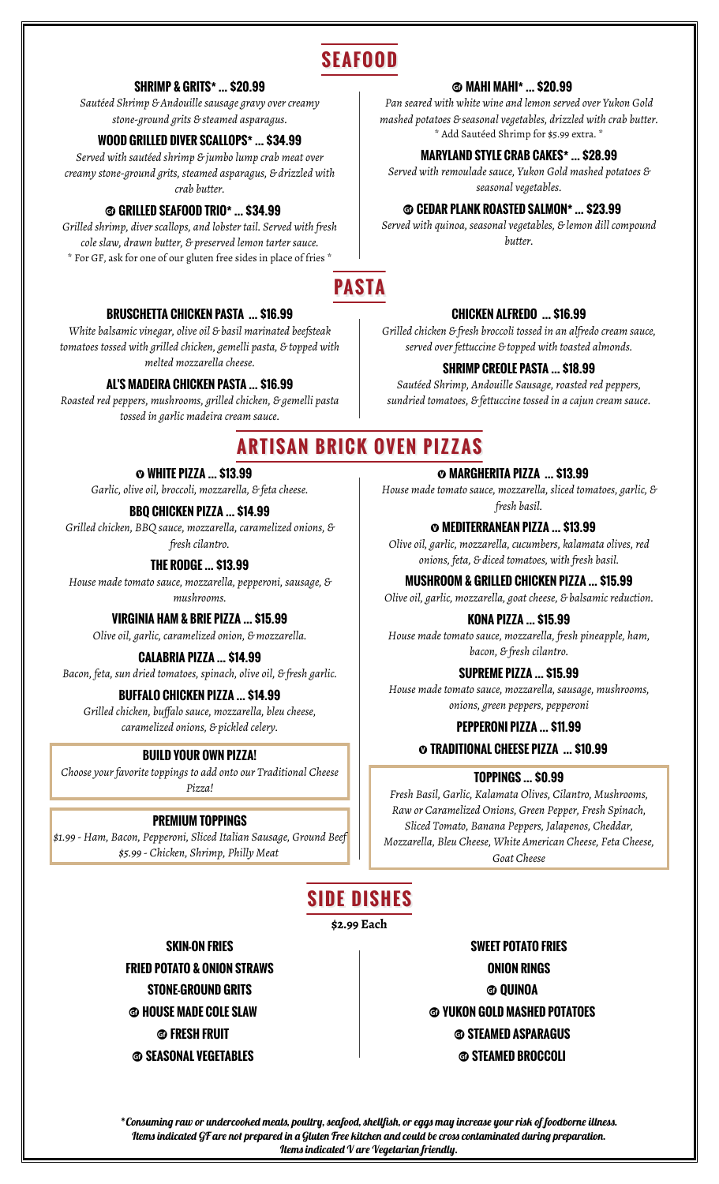## **SEAFOOD**

#### **SHRIMP & GRITS\* … \$20.99**

*Sautéed Shrimp & Andouille sausage gravy over creamy stone-ground grits & steamed asparagus.*

*Served with sautéed shrimp & jumbo lump crab meat over creamy stone-ground grits, steamed asparagus, & drizzled with crab butter.*

### u **GRILLED SEAFOOD TRIO\* … \$34.99**

*Grilled shrimp, diver scallops, and lobster tail. Served with fresh cole slaw, drawn butter, & preserved lemon tarter sauce.* \* For GF, ask for one of our gluten free sides in place of fries \*

## **PASTA**

### **BRUSCHETTA CHICKEN PASTA … \$16.99**

*White balsamic vinegar, olive oil & basil marinated beefsteak tomatoes tossed with grilled chicken, gemelli pasta, & topped with melted mozzarella cheese.*

#### **AL'S MADEIRA CHICKEN PASTA … \$16.99**

*Roasted red peppers, mushrooms, grilled chicken, & gemelli pasta tossed in garlic madeira cream sauce.*

### u **MAHI MAHI\* … \$20.99**

*Pan seared with white wine and lemon served over Yukon Gold mashed potatoes & seasonal vegetables, drizzled with crab butter.* \* Add Sautéed Shrimp for \$5.99 extra. \* **WOOD GRILLED DIVER SCALLOPS\* … \$34.99**

### **MARYLAND STYLE CRAB CAKES\* … \$28.99**

*Served with remoulade sauce, Yukon Gold mashed potatoes & seasonal vegetables.*

### u **CEDAR PLANK ROASTED SALMON\* … \$23.99**

*Served with quinoa, seasonal vegetables, & lemon dill compound butter.*

### **CHICKEN ALFREDO … \$16.99**

*Grilled chicken & fresh broccoli tossed in an alfredo cream sauce, served over fettuccine & topped with toasted almonds.*

### **SHRIMP CREOLE PASTA … \$18.99**

*Sautéed Shrimp, Andouille Sausage, roasted red peppers, sundried tomatoes, & fettuccine tossed in a cajun cream sauce.*

## **ARTISAN BRICK OVEN PIZZAS**

### ´ **WHITE PIZZA … \$13.99**

*Garlic, olive oil, broccoli, mozzarella, & feta cheese.*

*fresh basil.* **BBQ CHICKEN PIZZA … \$14.99** *Grilled chicken, BBQ sauce, mozzarella, caramelized onions, & fresh cilantro.*

*House made tomato sauce, mozzarella, pepperoni, sausage, & mushrooms.*

**VIRGINIA HAM & BRIE PIZZA … \$15.99**

*Olive oil, garlic, caramelized onion, & mozzarella.*

*Bacon, feta, sun dried tomatoes, spinach, olive oil, & fresh garlic.* **SUPREME PIZZA … \$15.99**

### **BUFFALO CHICKEN PIZZA … \$14.99**

*Grilled chicken, buffalo sauce, mozzarella, bleu cheese, caramelized onions, & pickled celery.* **PEPPERONI PIZZA … \$11.99**

### **BUILD YOUR OWN PIZZA!**

*Choose your favorite toppings to add onto our Traditional Cheese Pizza!*

### **PREMIUM TOPPINGS**

*\$1.99 - Ham, Bacon, Pepperoni, Sliced Italian Sausage, Ground Beef \$5.99 - Chicken, Shrimp, Philly Meat* 

´ **MARGHERITA PIZZA … \$13.99**

*House made tomato sauce, mozzarella, sliced tomatoes, garlic, &*

 $\odot$  **MEDITERRANEAN PIZZA ... \$13.99** 

*Olive oil, garlic, mozzarella, cucumbers, kalamata olives, red onions, feta, & diced tomatoes, with fresh basil.* **THE RODGE … \$13.99**

**MUSHROOM & GRILLED CHICKEN PIZZA … \$15.99**

*Olive oil, garlic, mozzarella, goat cheese, & balsamic reduction.*

**KONA PIZZA … \$15.99**

*House made tomato sauce, mozzarella, fresh pineapple, ham, bacon, & fresh cilantro.* **CALABRIA PIZZA … \$14.99**

*House made tomato sauce, mozzarella, sausage, mushrooms, onions, green peppers, pepperoni*

´ **TRADITIONAL CHEESE PIZZA … \$10.99**

### **TOPPINGS … \$0.99**

*Fresh Basil, Garlic, Kalamata Olives, Cilantro, Mushrooms, Raw or Caramelized Onions, Green Pepper, Fresh Spinach, Sliced Tomato, Banana Peppers, Jalapenos, Cheddar, Mozzarella, Bleu Cheese, White American Cheese, Feta Cheese, Goat Cheese*

## **SIDE DISHES**

**\$2.99 Each**

**FRIED POTATO & ONION STRAWS ONION RINGS STONE-GROUND GRITS u**  $\bullet$  **d**  $\bullet$  **duinoa** u **SEASONAL VEGETABLES** u **STEAMED BROCCOLI**

**SKIN-ON FRIES SWEET POTATO FRIES** u **HOUSE MADE COLE SLAW** u **YUKON GOLD MASHED POTATOES** u **FRESH FRUIT** u **STEAMED ASPARAGUS**